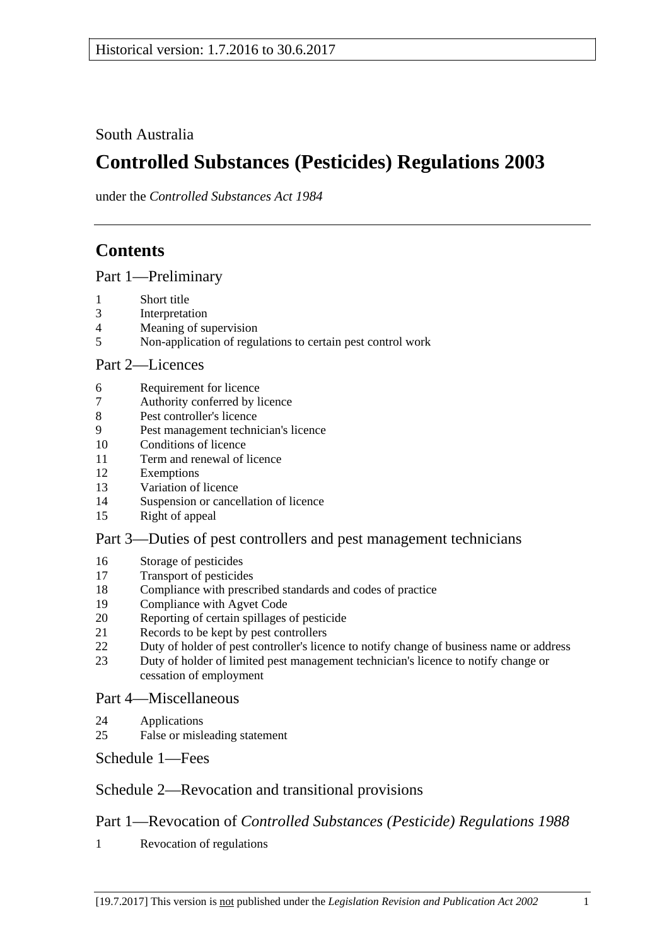South Australia

# **Controlled Substances (Pesticides) Regulations 2003**

under the *Controlled Substances Act 1984*

# **Contents**

[Part 1—Preliminary](#page-1-0)

- [Short title](#page-1-1)
- [Interpretation](#page-1-2)
- [Meaning of supervision](#page-2-0)
- [Non-application of regulations](#page-2-1) to certain pest control work

## [Part 2—Licences](#page-3-0)

- [Requirement for licence](#page-3-1)
- [Authority conferred by licence](#page-3-2)
- [Pest controller's licence](#page-4-0)
- [Pest management technician's licence](#page-4-1)
- [Conditions of licence](#page-6-0)
- [Term and renewal of licence](#page-6-1)
- [Exemptions](#page-6-2)
- [Variation of licence](#page-7-0)
- [Suspension or cancellation of licence](#page-7-1)
- [Right of appeal](#page-8-0)

## [Part 3—Duties of pest controllers and pest management technicians](#page-8-1)

- [Storage of pesticides](#page-8-2)
- [Transport of pesticides](#page-9-0)
- [Compliance with prescribed standards and codes of practice](#page-9-1)
- [Compliance with Agvet Code](#page-10-0)
- [Reporting of certain spillages of pesticide](#page-11-0)
- [Records to be kept by pest controllers](#page-11-1)
- [Duty of holder of pest controller's licence to notify change of business name or address](#page-12-0)<br>23 Duty of holder of limited nest management technician's licence to notify change or
- [Duty of holder of limited pest management technician's licence to notify change or](#page-13-0)  [cessation of employment](#page-13-0)

## [Part 4—Miscellaneous](#page-13-1)

- [Applications](#page-13-2)
- [False or misleading statement](#page-13-3)

[Schedule](#page-13-4) 1—Fees

## [Schedule 2—Revocation and transitional provisions](#page-14-0)

## Part 1—Revocation of *Controlled Substances (Pesticide) Regulations 1988*

[Revocation of regulations](#page-14-1)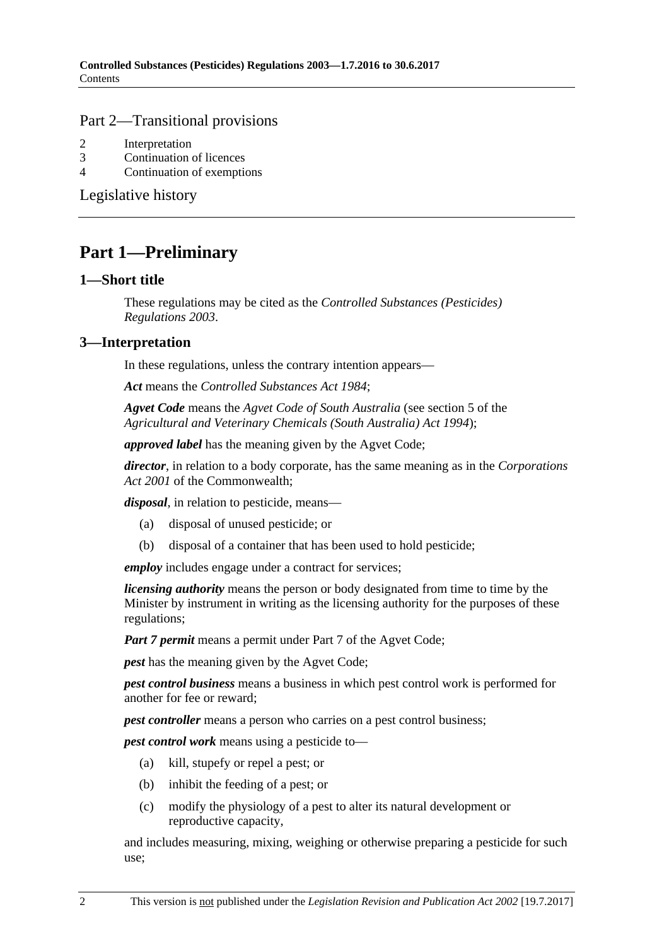#### Part 2—Transitional provisions

- 2 [Interpretation](#page-14-2)
- 3 [Continuation of licences](#page-14-3)
- 4 [Continuation of exemptions](#page-14-4)

[Legislative history](#page-15-0)

## <span id="page-1-0"></span>**Part 1—Preliminary**

#### <span id="page-1-1"></span>**1—Short title**

These regulations may be cited as the *Controlled Substances (Pesticides) Regulations 2003*.

## <span id="page-1-2"></span>**3—Interpretation**

In these regulations, unless the contrary intention appears—

*Act* means the *[Controlled Substances Act](http://www.legislation.sa.gov.au/index.aspx?action=legref&type=act&legtitle=Controlled%20Substances%20Act%201984) 1984*;

*Agvet Code* means the *Agvet Code of South Australia* (see section 5 of the *[Agricultural and Veterinary Chemicals \(South Australia\) Act](http://www.legislation.sa.gov.au/index.aspx?action=legref&type=act&legtitle=Agricultural%20and%20Veterinary%20Chemicals%20(South%20Australia)%20Act%201994) 1994*);

*approved label* has the meaning given by the Agvet Code;

*director*, in relation to a body corporate, has the same meaning as in the *Corporations Act 2001* of the Commonwealth;

*disposal*, in relation to pesticide, means—

- (a) disposal of unused pesticide; or
- (b) disposal of a container that has been used to hold pesticide;

*employ* includes engage under a contract for services;

*licensing authority* means the person or body designated from time to time by the Minister by instrument in writing as the licensing authority for the purposes of these regulations;

*Part 7 permit* means a permit under Part 7 of the Agvet Code;

*pest* has the meaning given by the Agvet Code;

*pest control business* means a business in which pest control work is performed for another for fee or reward;

*pest controller* means a person who carries on a pest control business;

*pest control work* means using a pesticide to—

- (a) kill, stupefy or repel a pest; or
- (b) inhibit the feeding of a pest; or
- (c) modify the physiology of a pest to alter its natural development or reproductive capacity,

and includes measuring, mixing, weighing or otherwise preparing a pesticide for such use;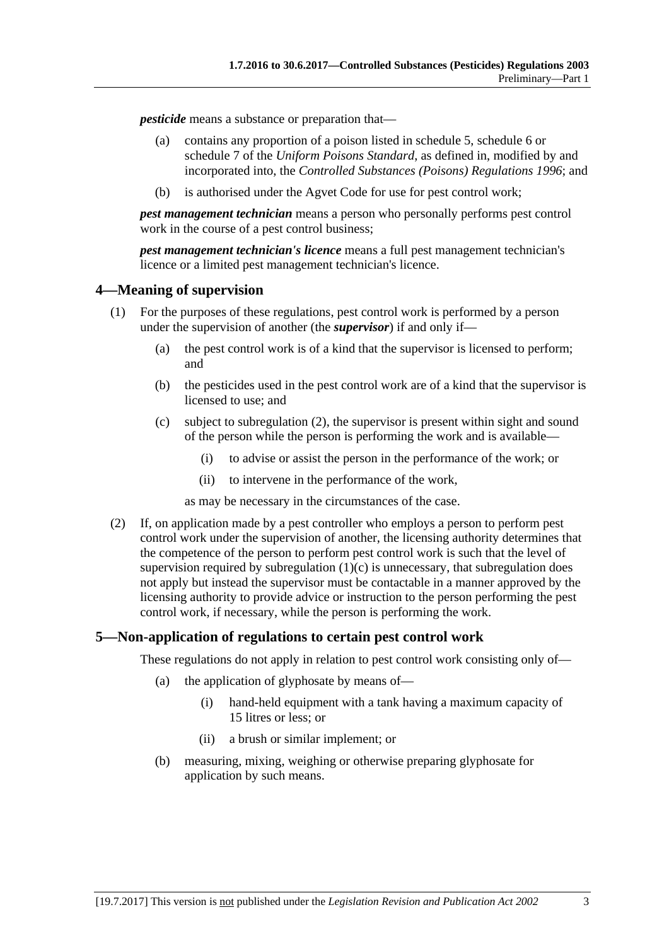*pesticide* means a substance or preparation that—

- (a) contains any proportion of a poison listed in schedule 5, schedule 6 or schedule 7 of the *Uniform Poisons Standard*, as defined in, modified by and incorporated into, the *[Controlled Substances \(Poisons\) Regulations](http://www.legislation.sa.gov.au/index.aspx?action=legref&type=subordleg&legtitle=Controlled%20Substances%20(Poisons)%20Regulations%201996) 1996*; and
- (b) is authorised under the Agvet Code for use for pest control work;

*pest management technician* means a person who personally performs pest control work in the course of a pest control business;

*pest management technician's licence* means a full pest management technician's licence or a limited pest management technician's licence.

## <span id="page-2-0"></span>**4—Meaning of supervision**

- <span id="page-2-3"></span>(1) For the purposes of these regulations, pest control work is performed by a person under the supervision of another (the *supervisor*) if and only if—
	- (a) the pest control work is of a kind that the supervisor is licensed to perform; and
	- (b) the pesticides used in the pest control work are of a kind that the supervisor is licensed to use; and
	- (c) subject to [subregulation](#page-2-2) (2), the supervisor is present within sight and sound of the person while the person is performing the work and is available—
		- (i) to advise or assist the person in the performance of the work; or
		- (ii) to intervene in the performance of the work,

as may be necessary in the circumstances of the case.

<span id="page-2-2"></span>(2) If, on application made by a pest controller who employs a person to perform pest control work under the supervision of another, the licensing authority determines that the competence of the person to perform pest control work is such that the level of supervision required by [subregulation](#page-2-3)  $(1)(c)$  is unnecessary, that subregulation does not apply but instead the supervisor must be contactable in a manner approved by the licensing authority to provide advice or instruction to the person performing the pest control work, if necessary, while the person is performing the work.

## <span id="page-2-1"></span>**5—Non-application of regulations to certain pest control work**

These regulations do not apply in relation to pest control work consisting only of—

- (a) the application of glyphosate by means of—
	- (i) hand-held equipment with a tank having a maximum capacity of 15 litres or less; or
	- (ii) a brush or similar implement; or
- (b) measuring, mixing, weighing or otherwise preparing glyphosate for application by such means.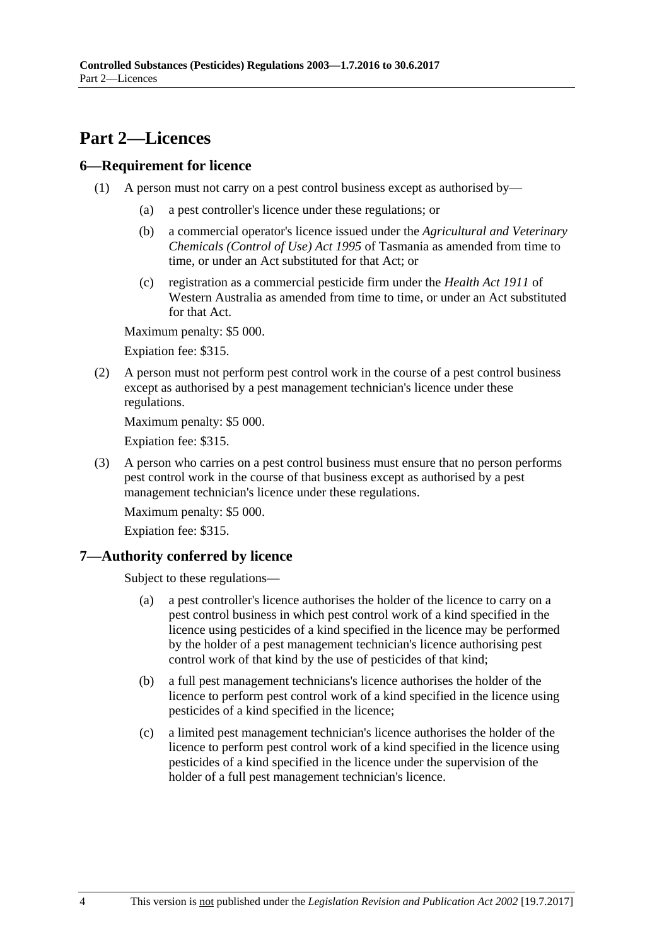## <span id="page-3-0"></span>**Part 2—Licences**

## <span id="page-3-1"></span>**6—Requirement for licence**

- (1) A person must not carry on a pest control business except as authorised by—
	- (a) a pest controller's licence under these regulations; or
	- (b) a commercial operator's licence issued under the *Agricultural and Veterinary Chemicals (Control of Use) Act 1995* of Tasmania as amended from time to time, or under an Act substituted for that Act; or
	- (c) registration as a commercial pesticide firm under the *Health Act 1911* of Western Australia as amended from time to time, or under an Act substituted for that Act.

Maximum penalty: \$5 000.

Expiation fee: \$315.

(2) A person must not perform pest control work in the course of a pest control business except as authorised by a pest management technician's licence under these regulations.

Maximum penalty: \$5 000.

Expiation fee: \$315.

(3) A person who carries on a pest control business must ensure that no person performs pest control work in the course of that business except as authorised by a pest management technician's licence under these regulations.

Maximum penalty: \$5 000.

Expiation fee: \$315.

## <span id="page-3-2"></span>**7—Authority conferred by licence**

Subject to these regulations—

- (a) a pest controller's licence authorises the holder of the licence to carry on a pest control business in which pest control work of a kind specified in the licence using pesticides of a kind specified in the licence may be performed by the holder of a pest management technician's licence authorising pest control work of that kind by the use of pesticides of that kind;
- (b) a full pest management technicians's licence authorises the holder of the licence to perform pest control work of a kind specified in the licence using pesticides of a kind specified in the licence;
- (c) a limited pest management technician's licence authorises the holder of the licence to perform pest control work of a kind specified in the licence using pesticides of a kind specified in the licence under the supervision of the holder of a full pest management technician's licence.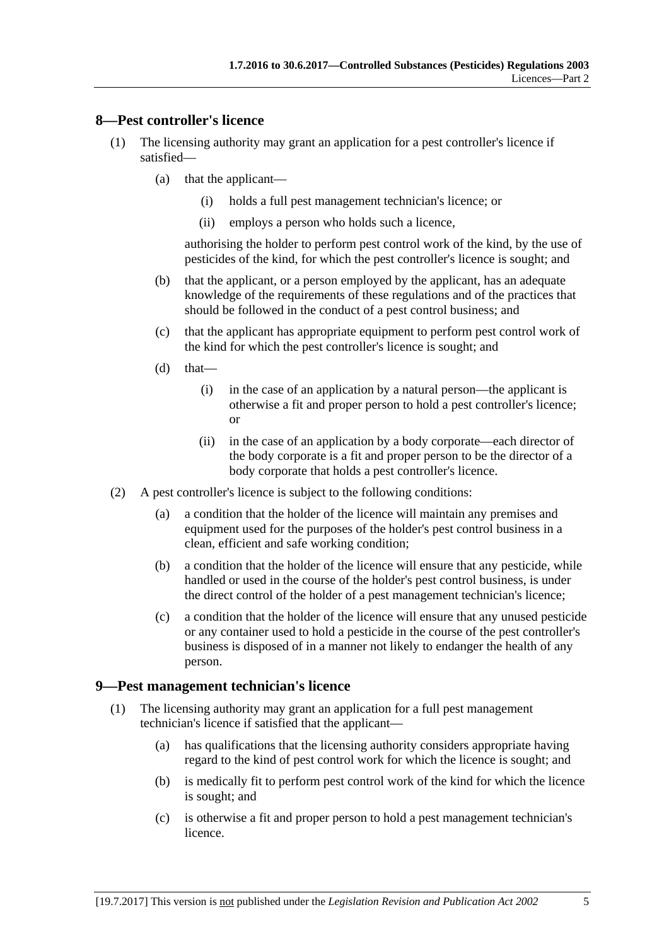#### <span id="page-4-0"></span>**8—Pest controller's licence**

- (1) The licensing authority may grant an application for a pest controller's licence if satisfied—
	- (a) that the applicant—
		- (i) holds a full pest management technician's licence; or
		- (ii) employs a person who holds such a licence,

authorising the holder to perform pest control work of the kind, by the use of pesticides of the kind, for which the pest controller's licence is sought; and

- (b) that the applicant, or a person employed by the applicant, has an adequate knowledge of the requirements of these regulations and of the practices that should be followed in the conduct of a pest control business; and
- (c) that the applicant has appropriate equipment to perform pest control work of the kind for which the pest controller's licence is sought; and
- $(d)$  that—
	- (i) in the case of an application by a natural person—the applicant is otherwise a fit and proper person to hold a pest controller's licence; or
	- (ii) in the case of an application by a body corporate—each director of the body corporate is a fit and proper person to be the director of a body corporate that holds a pest controller's licence.
- (2) A pest controller's licence is subject to the following conditions:
	- (a) a condition that the holder of the licence will maintain any premises and equipment used for the purposes of the holder's pest control business in a clean, efficient and safe working condition;
	- (b) a condition that the holder of the licence will ensure that any pesticide, while handled or used in the course of the holder's pest control business, is under the direct control of the holder of a pest management technician's licence;
	- (c) a condition that the holder of the licence will ensure that any unused pesticide or any container used to hold a pesticide in the course of the pest controller's business is disposed of in a manner not likely to endanger the health of any person.

#### <span id="page-4-1"></span>**9—Pest management technician's licence**

- (1) The licensing authority may grant an application for a full pest management technician's licence if satisfied that the applicant—
	- (a) has qualifications that the licensing authority considers appropriate having regard to the kind of pest control work for which the licence is sought; and
	- (b) is medically fit to perform pest control work of the kind for which the licence is sought; and
	- (c) is otherwise a fit and proper person to hold a pest management technician's licence.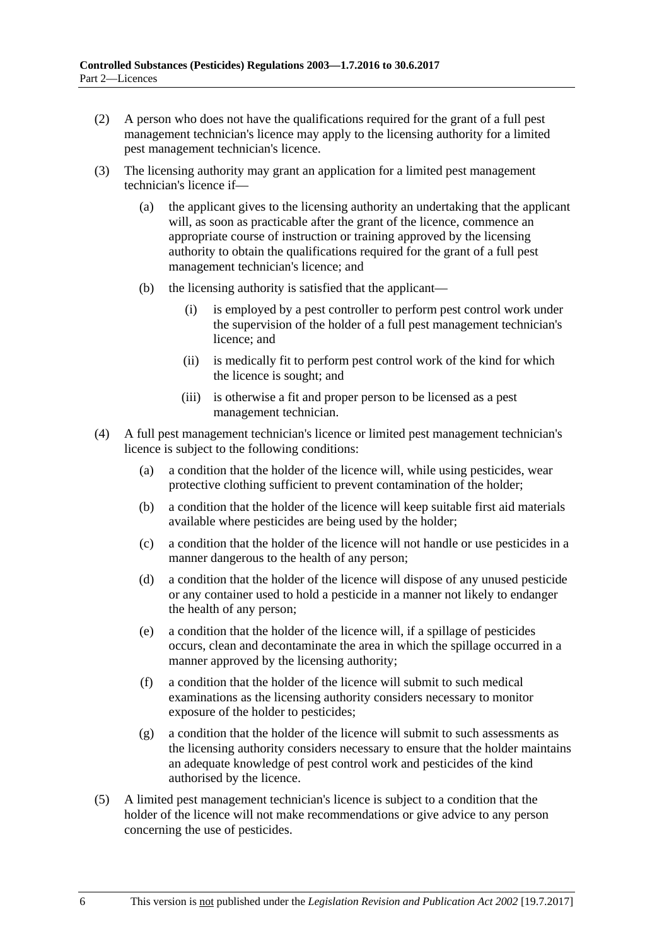- (2) A person who does not have the qualifications required for the grant of a full pest management technician's licence may apply to the licensing authority for a limited pest management technician's licence.
- (3) The licensing authority may grant an application for a limited pest management technician's licence if—
	- (a) the applicant gives to the licensing authority an undertaking that the applicant will, as soon as practicable after the grant of the licence, commence an appropriate course of instruction or training approved by the licensing authority to obtain the qualifications required for the grant of a full pest management technician's licence; and
	- (b) the licensing authority is satisfied that the applicant—
		- (i) is employed by a pest controller to perform pest control work under the supervision of the holder of a full pest management technician's licence; and
		- (ii) is medically fit to perform pest control work of the kind for which the licence is sought; and
		- (iii) is otherwise a fit and proper person to be licensed as a pest management technician.
- (4) A full pest management technician's licence or limited pest management technician's licence is subject to the following conditions:
	- (a) a condition that the holder of the licence will, while using pesticides, wear protective clothing sufficient to prevent contamination of the holder;
	- (b) a condition that the holder of the licence will keep suitable first aid materials available where pesticides are being used by the holder;
	- (c) a condition that the holder of the licence will not handle or use pesticides in a manner dangerous to the health of any person;
	- (d) a condition that the holder of the licence will dispose of any unused pesticide or any container used to hold a pesticide in a manner not likely to endanger the health of any person;
	- (e) a condition that the holder of the licence will, if a spillage of pesticides occurs, clean and decontaminate the area in which the spillage occurred in a manner approved by the licensing authority;
	- (f) a condition that the holder of the licence will submit to such medical examinations as the licensing authority considers necessary to monitor exposure of the holder to pesticides;
	- (g) a condition that the holder of the licence will submit to such assessments as the licensing authority considers necessary to ensure that the holder maintains an adequate knowledge of pest control work and pesticides of the kind authorised by the licence.
- (5) A limited pest management technician's licence is subject to a condition that the holder of the licence will not make recommendations or give advice to any person concerning the use of pesticides.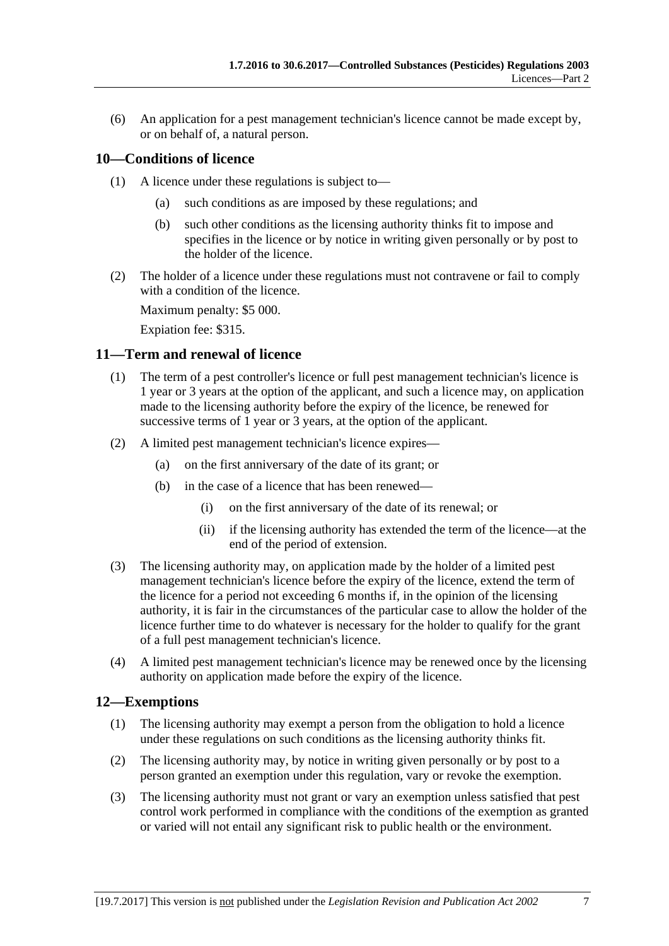(6) An application for a pest management technician's licence cannot be made except by, or on behalf of, a natural person.

## <span id="page-6-0"></span>**10—Conditions of licence**

- (1) A licence under these regulations is subject to—
	- (a) such conditions as are imposed by these regulations; and
	- (b) such other conditions as the licensing authority thinks fit to impose and specifies in the licence or by notice in writing given personally or by post to the holder of the licence.
- (2) The holder of a licence under these regulations must not contravene or fail to comply with a condition of the licence.

Maximum penalty: \$5 000.

Expiation fee: \$315.

#### <span id="page-6-1"></span>**11—Term and renewal of licence**

- (1) The term of a pest controller's licence or full pest management technician's licence is 1 year or 3 years at the option of the applicant, and such a licence may, on application made to the licensing authority before the expiry of the licence, be renewed for successive terms of 1 year or 3 years, at the option of the applicant.
- (2) A limited pest management technician's licence expires—
	- (a) on the first anniversary of the date of its grant; or
	- (b) in the case of a licence that has been renewed—
		- (i) on the first anniversary of the date of its renewal; or
		- (ii) if the licensing authority has extended the term of the licence—at the end of the period of extension.
- (3) The licensing authority may, on application made by the holder of a limited pest management technician's licence before the expiry of the licence, extend the term of the licence for a period not exceeding 6 months if, in the opinion of the licensing authority, it is fair in the circumstances of the particular case to allow the holder of the licence further time to do whatever is necessary for the holder to qualify for the grant of a full pest management technician's licence.
- (4) A limited pest management technician's licence may be renewed once by the licensing authority on application made before the expiry of the licence.

## <span id="page-6-2"></span>**12—Exemptions**

- (1) The licensing authority may exempt a person from the obligation to hold a licence under these regulations on such conditions as the licensing authority thinks fit.
- (2) The licensing authority may, by notice in writing given personally or by post to a person granted an exemption under this regulation, vary or revoke the exemption.
- (3) The licensing authority must not grant or vary an exemption unless satisfied that pest control work performed in compliance with the conditions of the exemption as granted or varied will not entail any significant risk to public health or the environment.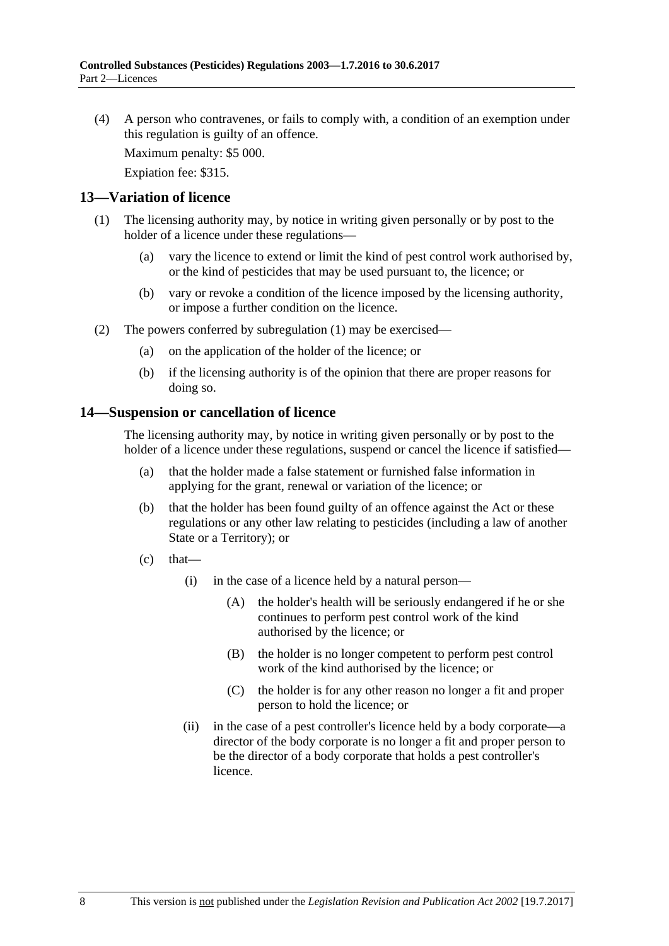(4) A person who contravenes, or fails to comply with, a condition of an exemption under this regulation is guilty of an offence.

Maximum penalty: \$5 000.

Expiation fee: \$315.

#### <span id="page-7-2"></span><span id="page-7-0"></span>**13—Variation of licence**

- (1) The licensing authority may, by notice in writing given personally or by post to the holder of a licence under these regulations—
	- (a) vary the licence to extend or limit the kind of pest control work authorised by, or the kind of pesticides that may be used pursuant to, the licence; or
	- (b) vary or revoke a condition of the licence imposed by the licensing authority, or impose a further condition on the licence.
- (2) The powers conferred by [subregulation](#page-7-2) (1) may be exercised—
	- (a) on the application of the holder of the licence; or
	- (b) if the licensing authority is of the opinion that there are proper reasons for doing so.

#### <span id="page-7-1"></span>**14—Suspension or cancellation of licence**

The licensing authority may, by notice in writing given personally or by post to the holder of a licence under these regulations, suspend or cancel the licence if satisfied—

- (a) that the holder made a false statement or furnished false information in applying for the grant, renewal or variation of the licence; or
- (b) that the holder has been found guilty of an offence against the Act or these regulations or any other law relating to pesticides (including a law of another State or a Territory); or
- $(c)$  that—
	- (i) in the case of a licence held by a natural person—
		- (A) the holder's health will be seriously endangered if he or she continues to perform pest control work of the kind authorised by the licence; or
		- (B) the holder is no longer competent to perform pest control work of the kind authorised by the licence; or
		- (C) the holder is for any other reason no longer a fit and proper person to hold the licence; or
	- (ii) in the case of a pest controller's licence held by a body corporate—a director of the body corporate is no longer a fit and proper person to be the director of a body corporate that holds a pest controller's licence.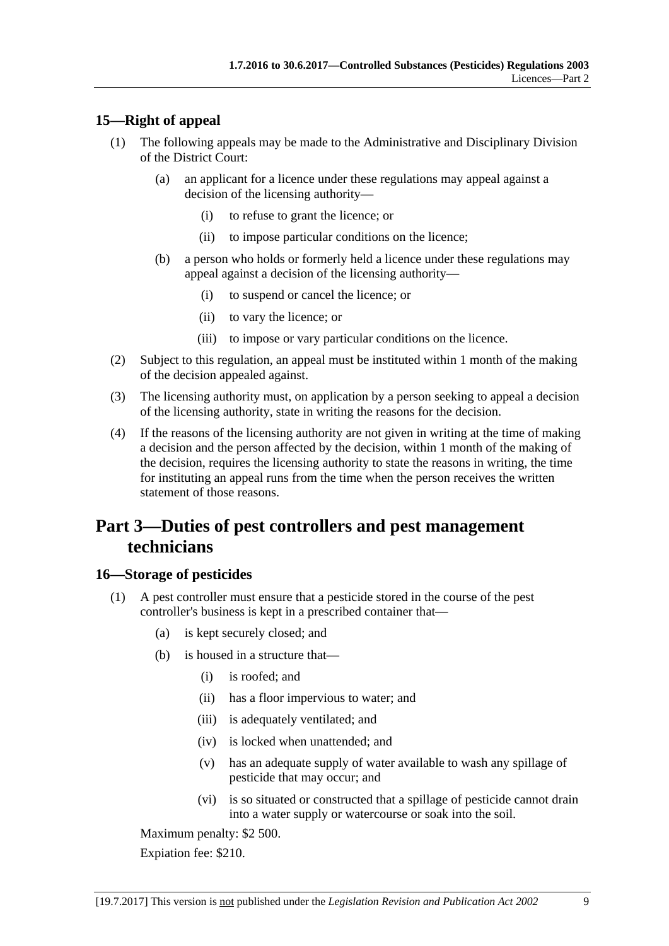## <span id="page-8-0"></span>**15—Right of appeal**

- (1) The following appeals may be made to the Administrative and Disciplinary Division of the District Court:
	- (a) an applicant for a licence under these regulations may appeal against a decision of the licensing authority—
		- (i) to refuse to grant the licence; or
		- (ii) to impose particular conditions on the licence;
	- (b) a person who holds or formerly held a licence under these regulations may appeal against a decision of the licensing authority—
		- (i) to suspend or cancel the licence; or
		- (ii) to vary the licence; or
		- (iii) to impose or vary particular conditions on the licence.
- (2) Subject to this regulation, an appeal must be instituted within 1 month of the making of the decision appealed against.
- (3) The licensing authority must, on application by a person seeking to appeal a decision of the licensing authority, state in writing the reasons for the decision.
- (4) If the reasons of the licensing authority are not given in writing at the time of making a decision and the person affected by the decision, within 1 month of the making of the decision, requires the licensing authority to state the reasons in writing, the time for instituting an appeal runs from the time when the person receives the written statement of those reasons.

# <span id="page-8-1"></span>**Part 3—Duties of pest controllers and pest management technicians**

## <span id="page-8-2"></span>**16—Storage of pesticides**

- <span id="page-8-3"></span>(1) A pest controller must ensure that a pesticide stored in the course of the pest controller's business is kept in a prescribed container that—
	- (a) is kept securely closed; and
	- (b) is housed in a structure that—
		- (i) is roofed; and
		- (ii) has a floor impervious to water; and
		- (iii) is adequately ventilated; and
		- (iv) is locked when unattended; and
		- (v) has an adequate supply of water available to wash any spillage of pesticide that may occur; and
		- (vi) is so situated or constructed that a spillage of pesticide cannot drain into a water supply or watercourse or soak into the soil.

Maximum penalty: \$2 500.

Expiation fee: \$210.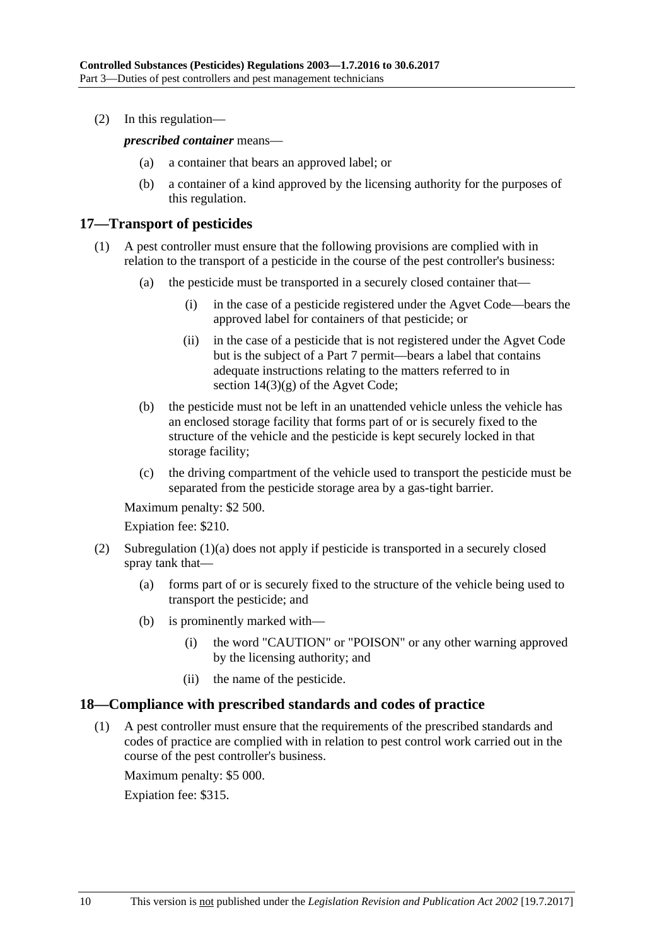(2) In this regulation—

*prescribed container* means—

- (a) a container that bears an approved label; or
- (b) a container of a kind approved by the licensing authority for the purposes of this regulation.

## <span id="page-9-0"></span>**17—Transport of pesticides**

- (1) A pest controller must ensure that the following provisions are complied with in relation to the transport of a pesticide in the course of the pest controller's business:
	- (a) the pesticide must be transported in a securely closed container that—
		- (i) in the case of a pesticide registered under the Agvet Code—bears the approved label for containers of that pesticide; or
		- (ii) in the case of a pesticide that is not registered under the Agvet Code but is the subject of a Part 7 permit—bears a label that contains adequate instructions relating to the matters referred to in section  $14(3)(g)$  of the Agvet Code;
	- (b) the pesticide must not be left in an unattended vehicle unless the vehicle has an enclosed storage facility that forms part of or is securely fixed to the structure of the vehicle and the pesticide is kept securely locked in that storage facility;
	- (c) the driving compartment of the vehicle used to transport the pesticide must be separated from the pesticide storage area by a gas-tight barrier.

Maximum penalty: \$2 500.

Expiation fee: \$210.

- (2) [Subregulation](#page-8-3) (1)(a) does not apply if pesticide is transported in a securely closed spray tank that—
	- (a) forms part of or is securely fixed to the structure of the vehicle being used to transport the pesticide; and
	- (b) is prominently marked with—
		- (i) the word "CAUTION" or "POISON" or any other warning approved by the licensing authority; and
		- (ii) the name of the pesticide.

#### <span id="page-9-1"></span>**18—Compliance with prescribed standards and codes of practice**

(1) A pest controller must ensure that the requirements of the prescribed standards and codes of practice are complied with in relation to pest control work carried out in the course of the pest controller's business.

Maximum penalty: \$5 000.

Expiation fee: \$315.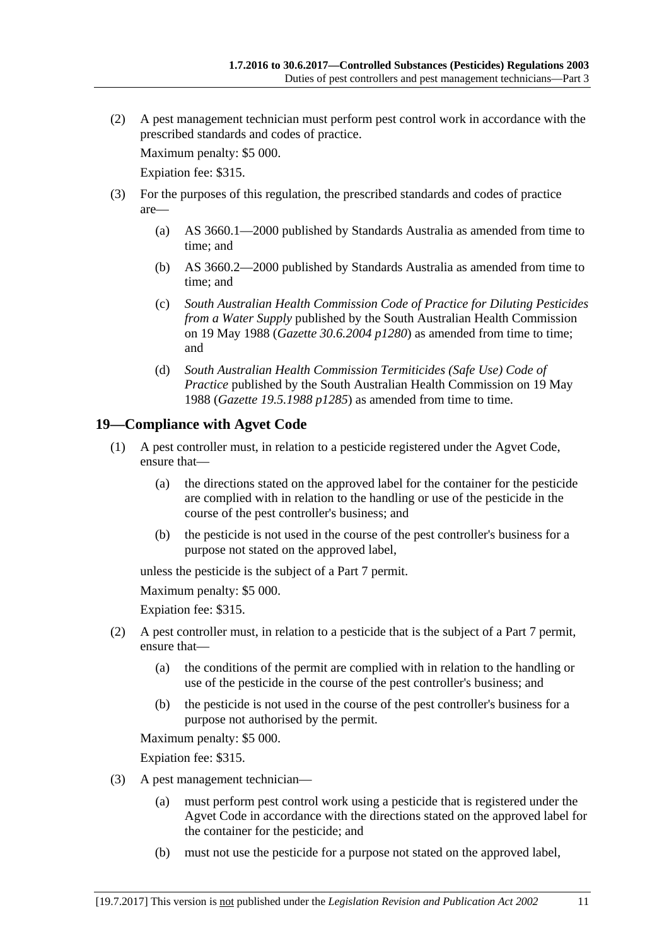(2) A pest management technician must perform pest control work in accordance with the prescribed standards and codes of practice.

Maximum penalty: \$5 000.

Expiation fee: \$315.

- (3) For the purposes of this regulation, the prescribed standards and codes of practice are—
	- (a) AS 3660.1—2000 published by Standards Australia as amended from time to time; and
	- (b) AS 3660.2—2000 published by Standards Australia as amended from time to time; and
	- (c) *South Australian Health Commission Code of Practice for Diluting Pesticides from a Water Supply* published by the South Australian Health Commission on 19 May 1988 (*Gazette 30.6.2004 p1280*) as amended from time to time; and
	- (d) *South Australian Health Commission Termiticides (Safe Use) Code of Practice* published by the South Australian Health Commission on 19 May 1988 (*Gazette 19.5.1988 p1285*) as amended from time to time.

## <span id="page-10-0"></span>**19—Compliance with Agvet Code**

- (1) A pest controller must, in relation to a pesticide registered under the Agvet Code, ensure that—
	- (a) the directions stated on the approved label for the container for the pesticide are complied with in relation to the handling or use of the pesticide in the course of the pest controller's business; and
	- (b) the pesticide is not used in the course of the pest controller's business for a purpose not stated on the approved label,

unless the pesticide is the subject of a Part 7 permit.

Maximum penalty: \$5 000.

Expiation fee: \$315.

- (2) A pest controller must, in relation to a pesticide that is the subject of a Part 7 permit, ensure that—
	- (a) the conditions of the permit are complied with in relation to the handling or use of the pesticide in the course of the pest controller's business; and
	- (b) the pesticide is not used in the course of the pest controller's business for a purpose not authorised by the permit.

Maximum penalty: \$5 000.

Expiation fee: \$315.

- (3) A pest management technician—
	- (a) must perform pest control work using a pesticide that is registered under the Agvet Code in accordance with the directions stated on the approved label for the container for the pesticide; and
	- (b) must not use the pesticide for a purpose not stated on the approved label,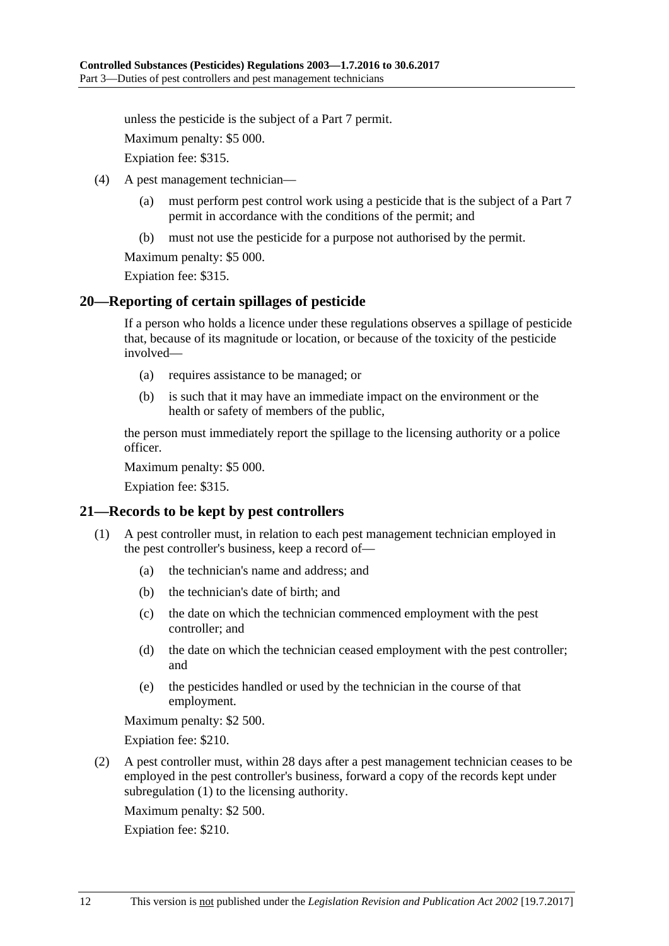unless the pesticide is the subject of a Part 7 permit.

Maximum penalty: \$5 000.

Expiation fee: \$315.

- (4) A pest management technician—
	- (a) must perform pest control work using a pesticide that is the subject of a Part 7 permit in accordance with the conditions of the permit; and
	- (b) must not use the pesticide for a purpose not authorised by the permit.

Maximum penalty: \$5 000.

Expiation fee: \$315.

#### <span id="page-11-0"></span>**20—Reporting of certain spillages of pesticide**

If a person who holds a licence under these regulations observes a spillage of pesticide that, because of its magnitude or location, or because of the toxicity of the pesticide involved—

- (a) requires assistance to be managed; or
- (b) is such that it may have an immediate impact on the environment or the health or safety of members of the public,

the person must immediately report the spillage to the licensing authority or a police officer.

Maximum penalty: \$5 000.

Expiation fee: \$315.

## <span id="page-11-2"></span><span id="page-11-1"></span>**21—Records to be kept by pest controllers**

- (1) A pest controller must, in relation to each pest management technician employed in the pest controller's business, keep a record of—
	- (a) the technician's name and address; and
	- (b) the technician's date of birth; and
	- (c) the date on which the technician commenced employment with the pest controller; and
	- (d) the date on which the technician ceased employment with the pest controller; and
	- (e) the pesticides handled or used by the technician in the course of that employment.

Maximum penalty: \$2 500.

Expiation fee: \$210.

(2) A pest controller must, within 28 days after a pest management technician ceases to be employed in the pest controller's business, forward a copy of the records kept under [subregulation](#page-11-2) (1) to the licensing authority.

Maximum penalty: \$2 500.

Expiation fee: \$210.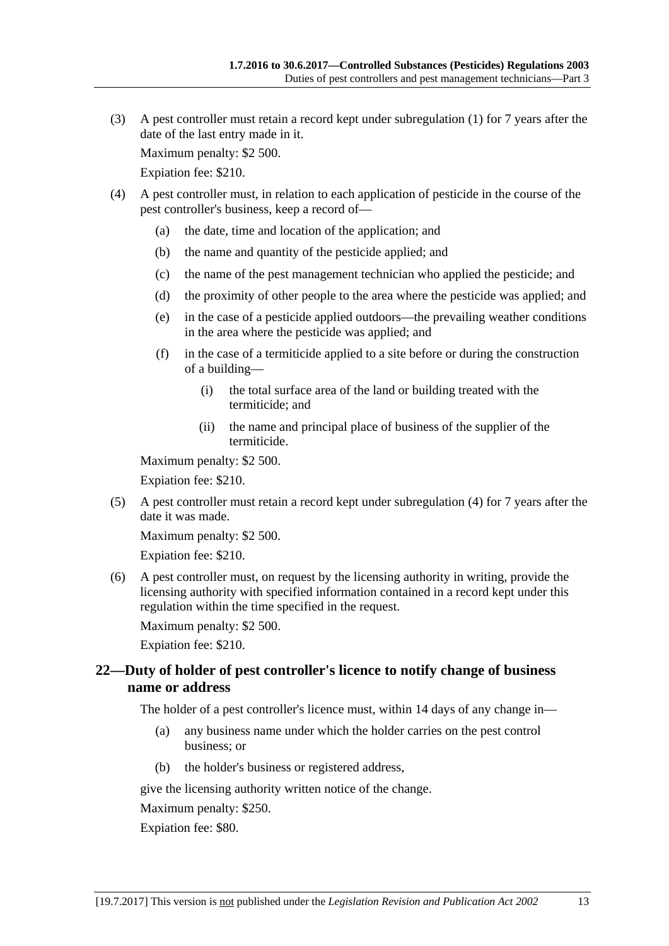(3) A pest controller must retain a record kept under [subregulation](#page-11-2) (1) for 7 years after the date of the last entry made in it.

Maximum penalty: \$2 500.

Expiation fee: \$210.

- <span id="page-12-1"></span>(4) A pest controller must, in relation to each application of pesticide in the course of the pest controller's business, keep a record of—
	- (a) the date, time and location of the application; and
	- (b) the name and quantity of the pesticide applied; and
	- (c) the name of the pest management technician who applied the pesticide; and
	- (d) the proximity of other people to the area where the pesticide was applied; and
	- (e) in the case of a pesticide applied outdoors—the prevailing weather conditions in the area where the pesticide was applied; and
	- (f) in the case of a termiticide applied to a site before or during the construction of a building—
		- (i) the total surface area of the land or building treated with the termiticide; and
		- (ii) the name and principal place of business of the supplier of the termiticide.

Maximum penalty: \$2 500.

Expiation fee: \$210.

(5) A pest controller must retain a record kept under [subregulation](#page-12-1) (4) for 7 years after the date it was made.

Maximum penalty: \$2 500.

Expiation fee: \$210.

(6) A pest controller must, on request by the licensing authority in writing, provide the licensing authority with specified information contained in a record kept under this regulation within the time specified in the request.

Maximum penalty: \$2 500.

Expiation fee: \$210.

## <span id="page-12-0"></span>**22—Duty of holder of pest controller's licence to notify change of business name or address**

The holder of a pest controller's licence must, within 14 days of any change in—

- (a) any business name under which the holder carries on the pest control business; or
- (b) the holder's business or registered address,

give the licensing authority written notice of the change.

Maximum penalty: \$250.

Expiation fee: \$80.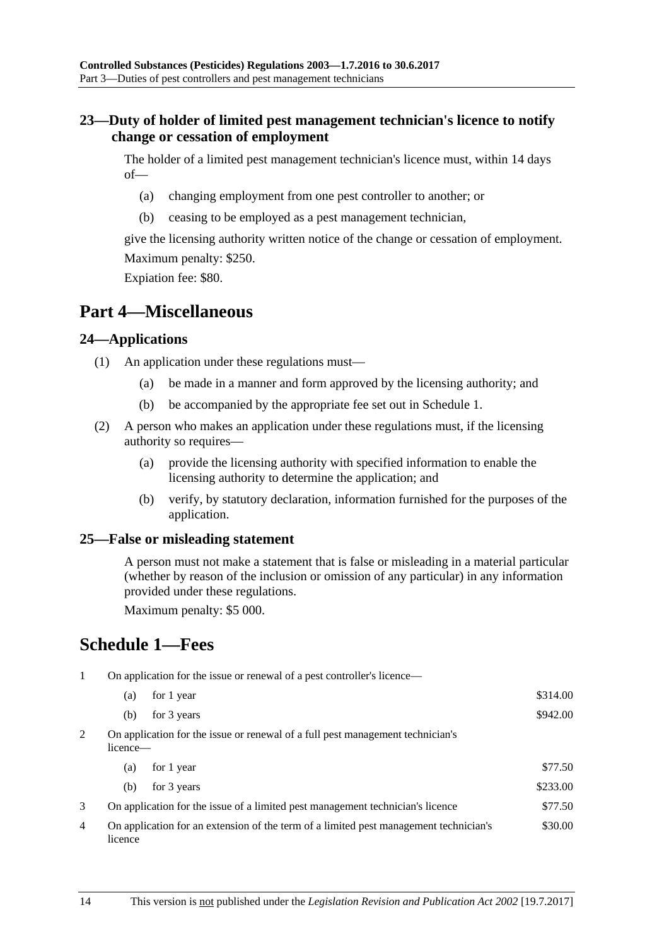## <span id="page-13-0"></span>**23—Duty of holder of limited pest management technician's licence to notify change or cessation of employment**

The holder of a limited pest management technician's licence must, within 14 days of—

- (a) changing employment from one pest controller to another; or
- (b) ceasing to be employed as a pest management technician,

give the licensing authority written notice of the change or cessation of employment. Maximum penalty: \$250.

Expiation fee: \$80.

## <span id="page-13-1"></span>**Part 4—Miscellaneous**

## <span id="page-13-2"></span>**24—Applications**

- (1) An application under these regulations must—
	- (a) be made in a manner and form approved by the licensing authority; and
	- (b) be accompanied by the appropriate fee set out in Schedule 1.
- (2) A person who makes an application under these regulations must, if the licensing authority so requires—
	- (a) provide the licensing authority with specified information to enable the licensing authority to determine the application; and
	- (b) verify, by statutory declaration, information furnished for the purposes of the application.

## <span id="page-13-3"></span>**25—False or misleading statement**

A person must not make a statement that is false or misleading in a material particular (whether by reason of the inclusion or omission of any particular) in any information provided under these regulations.

Maximum penalty: \$5 000.

# <span id="page-13-4"></span>**Schedule 1—Fees**

1 On application for the issue or renewal of a pest controller's licence—

|                | (a)                                                                                        | for 1 year                                                                            | \$314.00 |
|----------------|--------------------------------------------------------------------------------------------|---------------------------------------------------------------------------------------|----------|
|                | (b)                                                                                        | for 3 years                                                                           | \$942.00 |
| $\overline{2}$ | On application for the issue or renewal of a full pest management technician's<br>licence— |                                                                                       |          |
|                | (a)                                                                                        | for 1 year                                                                            | \$77.50  |
|                | (b)                                                                                        | for 3 years                                                                           | \$233.00 |
| 3              | On application for the issue of a limited pest management technician's licence             |                                                                                       | \$77.50  |
| 4              | licence                                                                                    | On application for an extension of the term of a limited pest management technician's | \$30.00  |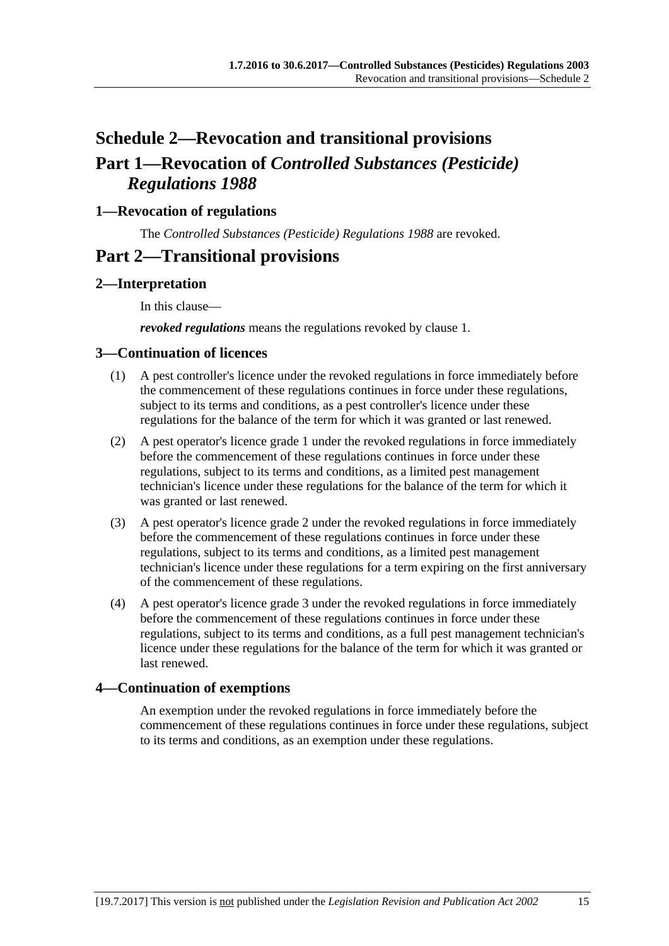# <span id="page-14-0"></span>**Schedule 2—Revocation and transitional provisions Part 1—Revocation of** *Controlled Substances (Pesticide) Regulations 1988*

## <span id="page-14-1"></span>**1—Revocation of regulations**

The *[Controlled Substances \(Pesticide\) Regulations 1988](http://www.legislation.sa.gov.au/index.aspx?action=legref&type=subordleg&legtitle=Controlled%20Substances%20(Pesticide)%20Regulations%201988)* are revoked.

## **Part 2—Transitional provisions**

## <span id="page-14-2"></span>**2—Interpretation**

In this clause—

*revoked regulations* means the regulations revoked by [clause](#page-14-1) 1.

#### <span id="page-14-3"></span>**3—Continuation of licences**

- (1) A pest controller's licence under the revoked regulations in force immediately before the commencement of these regulations continues in force under these regulations, subject to its terms and conditions, as a pest controller's licence under these regulations for the balance of the term for which it was granted or last renewed.
- (2) A pest operator's licence grade 1 under the revoked regulations in force immediately before the commencement of these regulations continues in force under these regulations, subject to its terms and conditions, as a limited pest management technician's licence under these regulations for the balance of the term for which it was granted or last renewed.
- (3) A pest operator's licence grade 2 under the revoked regulations in force immediately before the commencement of these regulations continues in force under these regulations, subject to its terms and conditions, as a limited pest management technician's licence under these regulations for a term expiring on the first anniversary of the commencement of these regulations.
- (4) A pest operator's licence grade 3 under the revoked regulations in force immediately before the commencement of these regulations continues in force under these regulations, subject to its terms and conditions, as a full pest management technician's licence under these regulations for the balance of the term for which it was granted or last renewed.

## <span id="page-14-4"></span>**4—Continuation of exemptions**

An exemption under the revoked regulations in force immediately before the commencement of these regulations continues in force under these regulations, subject to its terms and conditions, as an exemption under these regulations.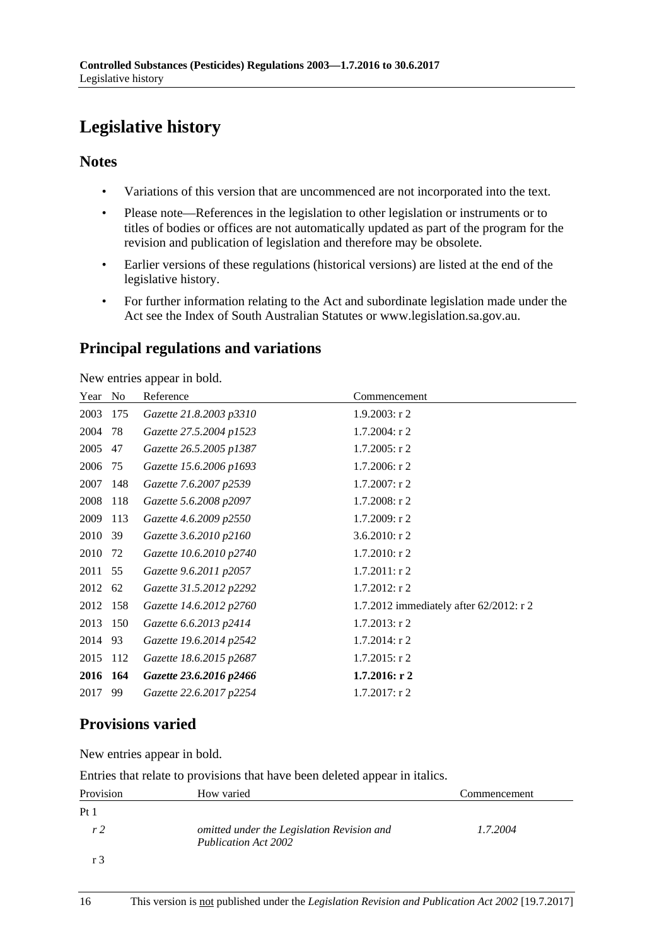# <span id="page-15-0"></span>**Legislative history**

## **Notes**

- Variations of this version that are uncommenced are not incorporated into the text.
- Please note—References in the legislation to other legislation or instruments or to titles of bodies or offices are not automatically updated as part of the program for the revision and publication of legislation and therefore may be obsolete.
- Earlier versions of these regulations (historical versions) are listed at the end of the legislative history.
- For further information relating to the Act and subordinate legislation made under the Act see the Index of South Australian Statutes or www.legislation.sa.gov.au.

## **Principal regulations and variations**

New entries appear in bold.

| Year     | N <sub>0</sub> | Reference               | Commencement                            |
|----------|----------------|-------------------------|-----------------------------------------|
| 2003     | 175            | Gazette 21.8.2003 p3310 | $1.9.2003$ : r 2                        |
| 2004     | 78             | Gazette 27.5.2004 p1523 | $1.7.2004$ : r 2                        |
| 2005     | 47             | Gazette 26.5.2005 p1387 | $1.7.2005$ : r 2                        |
| 2006     | 75             | Gazette 15.6.2006 p1693 | $1.7.2006$ : r 2                        |
| 2007     | 148            | Gazette 7.6.2007 p2539  | $1.7.2007:$ r 2                         |
| 2008     | 118            | Gazette 5.6.2008 p2097  | $1.7.2008:$ r 2                         |
| 2009     | 113            | Gazette 4.6.2009 p2550  | $1.7.2009$ : r 2                        |
| 2010     | 39             | Gazette 3.6.2010 p2160  | 3.6.2010: $r$ 2                         |
| 2010     | 72             | Gazette 10.6.2010 p2740 | $1.7.2010$ : r 2                        |
| 2011     | 55             | Gazette 9.6.2011 p2057  | $1.7.2011:$ r 2                         |
| 2012 62  |                | Gazette 31.5.2012 p2292 | $1.7.2012$ : r 2                        |
| 2012     | 158            | Gazette 14.6.2012 p2760 | 1.7.2012 immediately after 62/2012: r 2 |
| 2013     | 150            | Gazette 6.6.2013 p2414  | $1.7.2013$ : r 2                        |
| 2014     | 93             | Gazette 19.6.2014 p2542 | $1.7.2014$ : r 2                        |
| 2015     | 112            | Gazette 18.6.2015 p2687 | $1.7.2015$ : r 2                        |
| 2016 164 |                | Gazette 23.6.2016 p2466 | 1.7.2016: r2                            |
| 2017     | 99             | Gazette 22.6.2017 p2254 | $1.7.2017$ : r 2                        |

## **Provisions varied**

New entries appear in bold.

Entries that relate to provisions that have been deleted appear in italics.

| Provision       | How varied                                                                | Commencement |
|-----------------|---------------------------------------------------------------------------|--------------|
| Pt <sub>1</sub> |                                                                           |              |
| r <sub>2</sub>  | omitted under the Legislation Revision and<br><b>Publication Act 2002</b> | 1.7.2004     |
| r <sup>2</sup>  |                                                                           |              |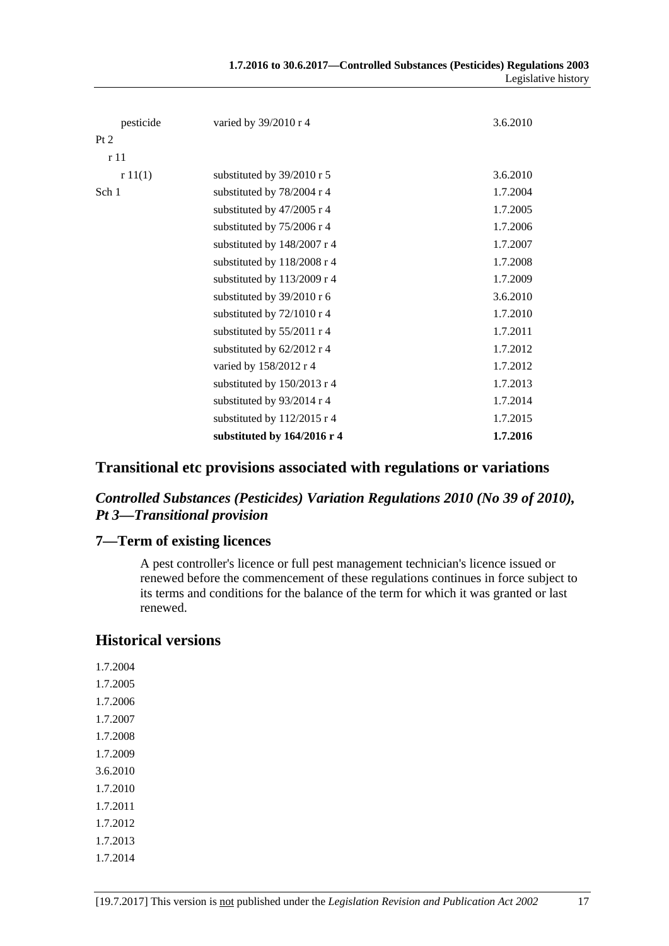|                 |                             | Legislative history |
|-----------------|-----------------------------|---------------------|
|                 |                             |                     |
| pesticide       | varied by 39/2010 r 4       | 3.6.2010            |
| Pt 2            |                             |                     |
| r <sub>11</sub> |                             |                     |
| r11(1)          | substituted by 39/2010 r 5  | 3.6.2010            |
| Sch 1           | substituted by 78/2004 r 4  | 1.7.2004            |
|                 | substituted by 47/2005 r 4  | 1.7.2005            |
|                 | substituted by 75/2006 r 4  | 1.7.2006            |
|                 | substituted by 148/2007 r 4 | 1.7.2007            |
|                 | substituted by 118/2008 r 4 | 1.7.2008            |
|                 | substituted by 113/2009 r 4 | 1.7.2009            |
|                 | substituted by 39/2010 r 6  | 3.6.2010            |
|                 | substituted by 72/1010 r 4  | 1.7.2010            |
|                 | substituted by 55/2011 r 4  | 1.7.2011            |
|                 | substituted by 62/2012 r 4  | 1.7.2012            |
|                 | varied by 158/2012 r 4      | 1.7.2012            |
|                 | substituted by 150/2013 r 4 | 1.7.2013            |
|                 | substituted by 93/2014 r 4  | 1.7.2014            |
|                 | substituted by 112/2015 r 4 | 1.7.2015            |
|                 | substituted by 164/2016 r 4 | 1.7.2016            |

**1.7.2016 to 30.6.2017—Controlled Substances (Pesticides) Regulations 2003**

## **Transitional etc provisions associated with regulations or variations**

## *Controlled Substances (Pesticides) Variation Regulations 2010 (No 39 of 2010), Pt 3—Transitional provision*

## **7—Term of existing licences**

A pest controller's licence or full pest management technician's licence issued or renewed before the commencement of these regulations continues in force subject to its terms and conditions for the balance of the term for which it was granted or last renewed.

## **Historical versions**

1.7.2004 1.7.2005 1.7.2006 1.7.2007 1.7.2008 1.7.2009 3.6.2010 1.7.2010 1.7.2011 1.7.2012 1.7.2013 1.7.2014